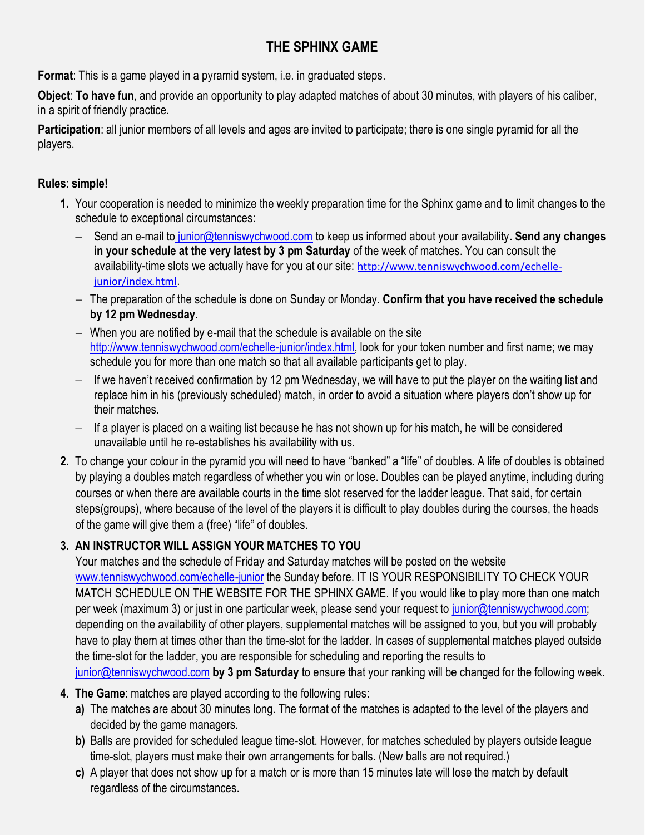# **THE SPHINX GAME**

**Format**: This is a game played in a pyramid system, i.e. in graduated steps.

**Object**: **To have fun**, and provide an opportunity to play adapted matches of about 30 minutes, with players of his caliber, in a spirit of friendly practice.

**Participation**: all junior members of all levels and ages are invited to participate; there is one single pyramid for all the players.

#### **Rules**: **simple!**

- **1.** Your cooperation is needed to minimize the weekly preparation time for the Sphinx game and to limit changes to the schedule to exceptional circumstances:
	- − Send an e-mail to [junior@tenniswychwood.com](mailto:to%20junior@tenniswychwood.com) to keep us informed about your availability**. Send any changes in your schedule at the very latest by 3 pm Saturday** of the week of matches. You can consult the availability-time slots we actually have for you at our site: http://www.tenniswychwood.com/echellejunior/index.html.
	- − The preparation of the schedule is done on Sunday or Monday. **Confirm that you have received the schedule by 12 pm Wednesday**.
	- − When you are notified by e-mail that the schedule is available on the site [http://www.tenniswychwood.com/echelle-junior/index.html,](http://www.tenniswychwood.com/echelle-junior/index.html) look for your token number and first name; we may schedule you for more than one match so that all available participants get to play.
	- − If we haven't received confirmation by 12 pm Wednesday, we will have to put the player on the waiting list and replace him in his (previously scheduled) match, in order to avoid a situation where players don't show up for their matches.
	- − If a player is placed on a waiting list because he has not shown up for his match, he will be considered unavailable until he re-establishes his availability with us.
- **2.** To change your colour in the pyramid you will need to have "banked" a "life" of doubles. A life of doubles is obtained by playing a doubles match regardless of whether you win or lose. Doubles can be played anytime, including during courses or when there are available courts in the time slot reserved for the ladder league. That said, for certain steps(groups), where because of the level of the players it is difficult to play doubles during the courses, the heads of the game will give them a (free) "life" of doubles.

## **3. AN INSTRUCTOR WILL ASSIGN YOUR MATCHES TO YOU**

Your matches and the schedule of Friday and Saturday matches will be posted on the website [www.tenniswychwood.com/echelle-junior](http://www.tenniswychwood.com/echelle-junior) the Sunday before. IT IS YOUR RESPONSIBILITY TO CHECK YOUR MATCH SCHEDULE ON THE WEBSITE FOR THE SPHINX GAME. If you would like to play more than one match per week (maximum 3) or just in one particular week, please send your request to [junior@tenniswychwood.com;](mailto:junior@tenniswychwood.com) depending on the availability of other players, supplemental matches will be assigned to you, but you will probably have to play them at times other than the time-slot for the ladder. In cases of supplemental matches played outside the time-slot for the ladder, you are responsible for scheduling and reporting the results to [junior@tenniswychwood.com](mailto:junior@tenniswychwood.com) **by 3 pm Saturday** to ensure that your ranking will be changed for the following week.

### **4. The Game**: matches are played according to the following rules:

- **a)** The matches are about 30 minutes long. The format of the matches is adapted to the level of the players and decided by the game managers.
- **b)** Balls are provided for scheduled league time-slot. However, for matches scheduled by players outside league time-slot, players must make their own arrangements for balls. (New balls are not required.)
- **c)** A player that does not show up for a match or is more than 15 minutes late will lose the match by default regardless of the circumstances.